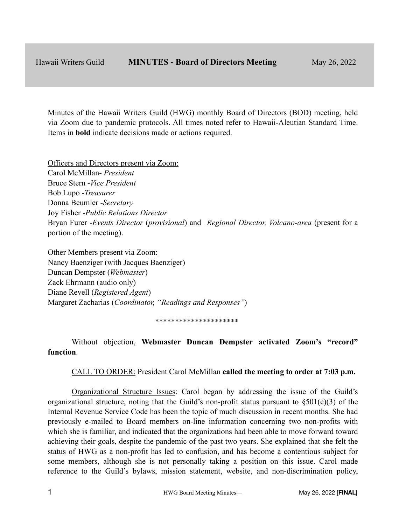Minutes of the Hawaii Writers Guild (HWG) monthly Board of Directors (BOD) meeting, held via Zoom due to pandemic protocols. All times noted refer to Hawaii-Aleutian Standard Time. Items in **bold** indicate decisions made or actions required.

Officers and Directors present via Zoom: Carol McMillan- *President* Bruce Stern -*Vice President* Bob Lupo -*Treasurer* Donna Beumler -*Secretary* Joy Fisher -*Public Relations Director* Bryan Furer -*Events Director* (*provisional*) and *Regional Director, Volcano-area* (present for a portion of the meeting).

Other Members present via Zoom: Nancy Baenziger (with Jacques Baenziger) Duncan Dempster (*Webmaster*) Zack Ehrmann (audio only) Diane Revell (*Registered Agent*) Margaret Zacharias (*Coordinator, "Readings and Responses"*)

#### \*\*\*\*\*\*\*\*\*\*\*\*\*\*\*\*\*\*\*\*\*

Without objection, **Webmaster Duncan Dempster activated Zoom's "record" function**.

CALL TO ORDER: President Carol McMillan **called the meeting to order at 7:03 p.m.**

Organizational Structure Issues: Carol began by addressing the issue of the Guild's organizational structure, noting that the Guild's non-profit status pursuant to  $\S501(c)(3)$  of the Internal Revenue Service Code has been the topic of much discussion in recent months. She had previously e-mailed to Board members on-line information concerning two non-profits with which she is familiar, and indicated that the organizations had been able to move forward toward achieving their goals, despite the pandemic of the past two years. She explained that she felt the status of HWG as a non-profit has led to confusion, and has become a contentious subject for some members, although she is not personally taking a position on this issue. Carol made reference to the Guild's bylaws, mission statement, website, and non-discrimination policy,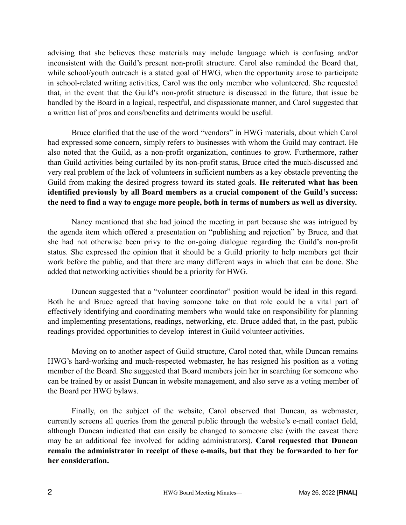advising that she believes these materials may include language which is confusing and/or inconsistent with the Guild's present non-profit structure. Carol also reminded the Board that, while school/youth outreach is a stated goal of HWG, when the opportunity arose to participate in school-related writing activities, Carol was the only member who volunteered. She requested that, in the event that the Guild's non-profit structure is discussed in the future, that issue be handled by the Board in a logical, respectful, and dispassionate manner, and Carol suggested that a written list of pros and cons/benefits and detriments would be useful.

Bruce clarified that the use of the word "vendors" in HWG materials, about which Carol had expressed some concern, simply refers to businesses with whom the Guild may contract. He also noted that the Guild, as a non-profit organization, continues to grow. Furthermore, rather than Guild activities being curtailed by its non-profit status, Bruce cited the much-discussed and very real problem of the lack of volunteers in sufficient numbers as a key obstacle preventing the Guild from making the desired progress toward its stated goals. **He reiterated what has been identified previously by all Board members as a crucial component of the Guild's success: the need to find a way to engage more people, both in terms of numbers as well as diversity.** 

Nancy mentioned that she had joined the meeting in part because she was intrigued by the agenda item which offered a presentation on "publishing and rejection" by Bruce, and that she had not otherwise been privy to the on-going dialogue regarding the Guild's non-profit status. She expressed the opinion that it should be a Guild priority to help members get their work before the public, and that there are many different ways in which that can be done. She added that networking activities should be a priority for HWG.

Duncan suggested that a "volunteer coordinator" position would be ideal in this regard. Both he and Bruce agreed that having someone take on that role could be a vital part of effectively identifying and coordinating members who would take on responsibility for planning and implementing presentations, readings, networking, etc. Bruce added that, in the past, public readings provided opportunities to develop interest in Guild volunteer activities.

Moving on to another aspect of Guild structure, Carol noted that, while Duncan remains HWG's hard-working and much-respected webmaster, he has resigned his position as a voting member of the Board. She suggested that Board members join her in searching for someone who can be trained by or assist Duncan in website management, and also serve as a voting member of the Board per HWG bylaws.

Finally, on the subject of the website, Carol observed that Duncan, as webmaster, currently screens all queries from the general public through the website's e-mail contact field, although Duncan indicated that can easily be changed to someone else (with the caveat there may be an additional fee involved for adding administrators). **Carol requested that Duncan remain the administrator in receipt of these e-mails, but that they be forwarded to her for her consideration.**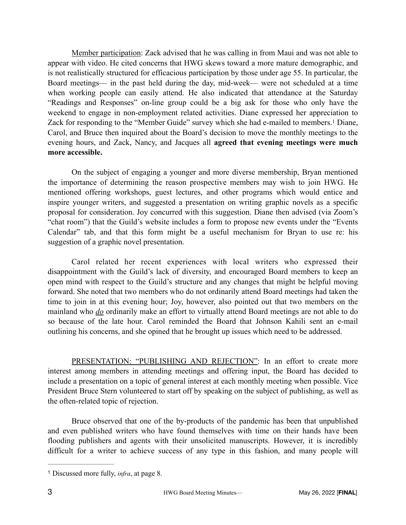Member participation: Zack advised that he was calling in from Maui and was not able to appear with video. He cited concerns that HWG skews toward a more mature demographic, and is not realistically structured for efficacious participation by those under age 55. In particular, the Board meetings— in the past held during the day, mid-week— were not scheduled at a time when working people can easily attend. He also indicated that attendance at the Saturday "Readings and Responses" on-line group could be a big ask for those who only have the weekend to engage in non-employment related activities. Diane expressed her appreciation to Zack for responding to the "Member Guide" survey which she had e-mailed to members[.](#page-2-0)<sup>[1](#page-2-0)</sup> Diane, Carol, and Bruce then inquired about the Board's decision to move the monthly meetings to the evening hours, and Zack, Nancy, and Jacques all **agreed that evening meetings were much more accessible.**

<span id="page-2-1"></span>On the subject of engaging a younger and more diverse membership, Bryan mentioned the importance of determining the reason prospective members may wish to join HWG. He mentioned offering workshops, guest lectures, and other programs which would entice and inspire younger writers, and suggested a presentation on writing graphic novels as a specific proposal for consideration. Joy concurred with this suggestion. Diane then advised (via Zoom's "chat room") that the Guild's website includes a form to propose new events under the "Events Calendar" tab, and that this form might be a useful mechanism for Bryan to use re: his suggestion of a graphic novel presentation.

Carol related her recent experiences with local writers who expressed their disappointment with the Guild's lack of diversity, and encouraged Board members to keep an open mind with respect to the Guild's structure and any changes that might be helpful moving forward. She noted that two members who do not ordinarily attend Board meetings had taken the time to join in at this evening hour; Joy, however, also pointed out that two members on the mainland who *do* ordinarily make an effort to virtually attend Board meetings are not able to do so because of the late hour. Carol reminded the Board that Johnson Kahili sent an e-mail outlining his concerns, and she opined that he brought up issues which need to be addressed.

PRESENTATION: "PUBLISHING AND REJECTION": In an effort to create more interest among members in attending meetings and offering input, the Board has decided to include a presentation on a topic of general interest at each monthly meeting when possible. Vice President Bruce Stern volunteered to start off by speaking on the subject of publishing, as well as the often-related topic of rejection.

Bruce observed that one of the by-products of the pandemic has been that unpublished and even published writers who have found themselves with time on their hands have been flooding publishers and agents with their unsolicited manuscripts. However, it is incredibly difficult for a writer to achieve success of any type in this fashion, and many people will

<span id="page-2-0"></span>Discussed more fully, *infra*, at page 8. [1](#page-2-1)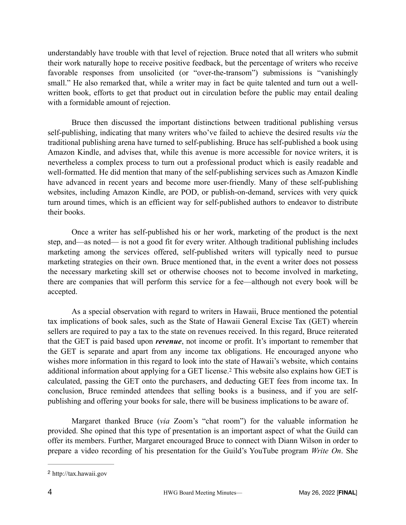understandably have trouble with that level of rejection. Bruce noted that all writers who submit their work naturally hope to receive positive feedback, but the percentage of writers who receive favorable responses from unsolicited (or "over-the-transom") submissions is "vanishingly small." He also remarked that, while a writer may in fact be quite talented and turn out a wellwritten book, efforts to get that product out in circulation before the public may entail dealing with a formidable amount of rejection.

Bruce then discussed the important distinctions between traditional publishing versus self-publishing, indicating that many writers who've failed to achieve the desired results *via* the traditional publishing arena have turned to self-publishing. Bruce has self-published a book using Amazon Kindle, and advises that, while this avenue is more accessible for novice writers, it is nevertheless a complex process to turn out a professional product which is easily readable and well-formatted. He did mention that many of the self-publishing services such as Amazon Kindle have advanced in recent years and become more user-friendly. Many of these self-publishing websites, including Amazon Kindle, are POD, or publish-on-demand, services with very quick turn around times, which is an efficient way for self-published authors to endeavor to distribute their books.

Once a writer has self-published his or her work, marketing of the product is the next step, and—as noted— is not a good fit for every writer. Although traditional publishing includes marketing among the services offered, self-published writers will typically need to pursue marketing strategies on their own. Bruce mentioned that, in the event a writer does not possess the necessary marketing skill set or otherwise chooses not to become involved in marketing, there are companies that will perform this service for a fee—although not every book will be accepted.

As a special observation with regard to writers in Hawaii, Bruce mentioned the potential tax implications of book sales, such as the State of Hawaii General Excise Tax (GET) wherein sellers are required to pay a tax to the state on revenues received. In this regard, Bruce reiterated that the GET is paid based upon *revenue*, not income or profit. It's important to remember that the GET is separate and apart from any income tax obligations. He encouraged anyone who wishes more information in this regard to look into the state of Hawaii's website, which contains additionalinformation about applying for a GET license.<sup>[2](#page-3-0)</sup> This website also explains how GET is calculated, passing the GET onto the purchasers, and deducting GET fees from income tax. In conclusion, Bruce reminded attendees that selling books is a business, and if you are selfpublishing and offering your books for sale, there will be business implications to be aware of.

<span id="page-3-1"></span>Margaret thanked Bruce (*via* Zoom's "chat room") for the valuable information he provided. She opined that this type of presentation is an important aspect of what the Guild can offer its members. Further, Margaret encouraged Bruce to connect with Diann Wilson in order to prepare a video recording of his presentation for the Guild's YouTube program *Write On*. She

<span id="page-3-0"></span>http://tax.hawaii.gov [2](#page-3-1)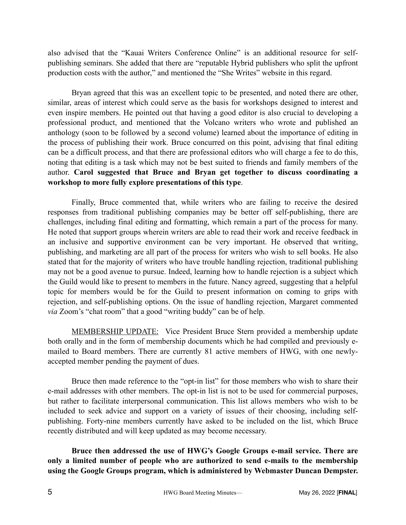also advised that the "Kauai Writers Conference Online" is an additional resource for selfpublishing seminars. She added that there are "reputable Hybrid publishers who split the upfront production costs with the author," and mentioned the "She Writes" website in this regard.

Bryan agreed that this was an excellent topic to be presented, and noted there are other, similar, areas of interest which could serve as the basis for workshops designed to interest and even inspire members. He pointed out that having a good editor is also crucial to developing a professional product, and mentioned that the Volcano writers who wrote and published an anthology (soon to be followed by a second volume) learned about the importance of editing in the process of publishing their work. Bruce concurred on this point, advising that final editing can be a difficult process, and that there are professional editors who will charge a fee to do this, noting that editing is a task which may not be best suited to friends and family members of the author. **Carol suggested that Bruce and Bryan get together to discuss coordinating a workshop to more fully explore presentations of this type**.

Finally, Bruce commented that, while writers who are failing to receive the desired responses from traditional publishing companies may be better off self-publishing, there are challenges, including final editing and formatting, which remain a part of the process for many. He noted that support groups wherein writers are able to read their work and receive feedback in an inclusive and supportive environment can be very important. He observed that writing, publishing, and marketing are all part of the process for writers who wish to sell books. He also stated that for the majority of writers who have trouble handling rejection, traditional publishing may not be a good avenue to pursue. Indeed, learning how to handle rejection is a subject which the Guild would like to present to members in the future. Nancy agreed, suggesting that a helpful topic for members would be for the Guild to present information on coming to grips with rejection, and self-publishing options. On the issue of handling rejection, Margaret commented *via* Zoom's "chat room" that a good "writing buddy" can be of help.

MEMBERSHIP UPDATE: Vice President Bruce Stern provided a membership update both orally and in the form of membership documents which he had compiled and previously emailed to Board members. There are currently 81 active members of HWG, with one newlyaccepted member pending the payment of dues.

Bruce then made reference to the "opt-in list" for those members who wish to share their e-mail addresses with other members. The opt-in list is not to be used for commercial purposes, but rather to facilitate interpersonal communication. This list allows members who wish to be included to seek advice and support on a variety of issues of their choosing, including selfpublishing. Forty-nine members currently have asked to be included on the list, which Bruce recently distributed and will keep updated as may become necessary.

**Bruce then addressed the use of HWG's Google Groups e-mail service. There are only a limited number of people who are authorized to send e-mails to the membership using the Google Groups program, which is administered by Webmaster Duncan Dempster.**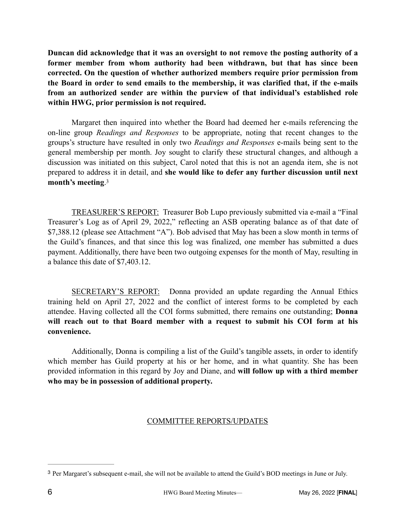**Duncan did acknowledge that it was an oversight to not remove the posting authority of a former member from whom authority had been withdrawn, but that has since been corrected. On the question of whether authorized members require prior permission from the Board in order to send emails to the membership, it was clarified that, if the e-mails from an authorized sender are within the purview of that individual's established role within HWG, prior permission is not required.**

Margaret then inquired into whether the Board had deemed her e-mails referencing the on-line group *Readings and Responses* to be appropriate, noting that recent changes to the groups's structure have resulted in only two *Readings and Responses* e-mails being sent to the general membership per month. Joy sought to clarify these structural changes, and although a discussion was initiated on this subject, Carol noted that this is not an agenda item, she is not prepared to address it in detail, and **she would like to defer any further discussion until next month's meeting**[.](#page-5-0) [3](#page-5-0)

<span id="page-5-1"></span>TREASURER'S REPORT: Treasurer Bob Lupo previously submitted via e-mail a "Final Treasurer's Log as of April 29, 2022," reflecting an ASB operating balance as of that date of \$7,388.12 (please see Attachment "A"). Bob advised that May has been a slow month in terms of the Guild's finances, and that since this log was finalized, one member has submitted a dues payment. Additionally, there have been two outgoing expenses for the month of May, resulting in a balance this date of \$7,403.12.

SECRETARY'S REPORT: Donna provided an update regarding the Annual Ethics training held on April 27, 2022 and the conflict of interest forms to be completed by each attendee. Having collected all the COI forms submitted, there remains one outstanding; **Donna will reach out to that Board member with a request to submit his COI form at his convenience.**

Additionally, Donna is compiling a list of the Guild's tangible assets, in order to identify which member has Guild property at his or her home, and in what quantity. She has been provided information in this regard by Joy and Diane, and **will follow up with a third member who may be in possession of additional property.**

# COMMITTEE REPORTS/UPDATES

<span id="page-5-0"></span><sup>&</sup>lt;sup>[3](#page-5-1)</sup> Per Margaret's subsequent e-mail, she will not be available to attend the Guild's BOD meetings in June or July.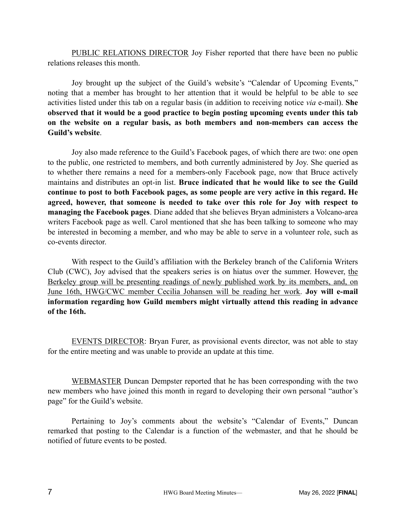PUBLIC RELATIONS DIRECTOR Joy Fisher reported that there have been no public relations releases this month.

Joy brought up the subject of the Guild's website's "Calendar of Upcoming Events," noting that a member has brought to her attention that it would be helpful to be able to see activities listed under this tab on a regular basis (in addition to receiving notice *via* e-mail). **She observed that it would be a good practice to begin posting upcoming events under this tab on the website on a regular basis, as both members and non-members can access the Guild's website**.

Joy also made reference to the Guild's Facebook pages, of which there are two: one open to the public, one restricted to members, and both currently administered by Joy. She queried as to whether there remains a need for a members-only Facebook page, now that Bruce actively maintains and distributes an opt-in list. **Bruce indicated that he would like to see the Guild continue to post to both Facebook pages, as some people are very active in this regard. He agreed, however, that someone is needed to take over this role for Joy with respect to managing the Facebook pages**. Diane added that she believes Bryan administers a Volcano-area writers Facebook page as well. Carol mentioned that she has been talking to someone who may be interested in becoming a member, and who may be able to serve in a volunteer role, such as co-events director.

With respect to the Guild's affiliation with the Berkeley branch of the California Writers Club (CWC), Joy advised that the speakers series is on hiatus over the summer. However, the Berkeley group will be presenting readings of newly published work by its members, and, on June 16th, HWG/CWC member Cecilia Johansen will be reading her work. **Joy will e-mail information regarding how Guild members might virtually attend this reading in advance of the 16th.**

EVENTS DIRECTOR: Bryan Furer, as provisional events director, was not able to stay for the entire meeting and was unable to provide an update at this time.

WEBMASTER Duncan Dempster reported that he has been corresponding with the two new members who have joined this month in regard to developing their own personal "author's page" for the Guild's website.

Pertaining to Joy's comments about the website's "Calendar of Events," Duncan remarked that posting to the Calendar is a function of the webmaster, and that he should be notified of future events to be posted.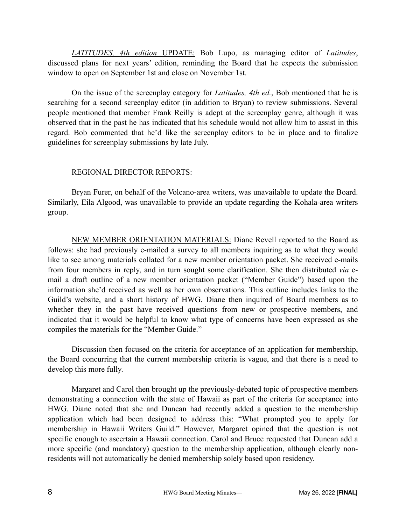*LATITUDES, 4th edition* UPDATE: Bob Lupo, as managing editor of *Latitudes*, discussed plans for next years' edition, reminding the Board that he expects the submission window to open on September 1st and close on November 1st.

On the issue of the screenplay category for *Latitudes, 4th ed.*, Bob mentioned that he is searching for a second screenplay editor (in addition to Bryan) to review submissions. Several people mentioned that member Frank Reilly is adept at the screenplay genre, although it was observed that in the past he has indicated that his schedule would not allow him to assist in this regard. Bob commented that he'd like the screenplay editors to be in place and to finalize guidelines for screenplay submissions by late July.

#### REGIONAL DIRECTOR REPORTS:

Bryan Furer, on behalf of the Volcano-area writers, was unavailable to update the Board. Similarly, Eila Algood, was unavailable to provide an update regarding the Kohala-area writers group.

NEW MEMBER ORIENTATION MATERIALS: Diane Revell reported to the Board as follows: she had previously e-mailed a survey to all members inquiring as to what they would like to see among materials collated for a new member orientation packet. She received e-mails from four members in reply, and in turn sought some clarification. She then distributed *via* email a draft outline of a new member orientation packet ("Member Guide") based upon the information she'd received as well as her own observations. This outline includes links to the Guild's website, and a short history of HWG. Diane then inquired of Board members as to whether they in the past have received questions from new or prospective members, and indicated that it would be helpful to know what type of concerns have been expressed as she compiles the materials for the "Member Guide."

Discussion then focused on the criteria for acceptance of an application for membership, the Board concurring that the current membership criteria is vague, and that there is a need to develop this more fully.

Margaret and Carol then brought up the previously-debated topic of prospective members demonstrating a connection with the state of Hawaii as part of the criteria for acceptance into HWG. Diane noted that she and Duncan had recently added a question to the membership application which had been designed to address this: "What prompted you to apply for membership in Hawaii Writers Guild." However, Margaret opined that the question is not specific enough to ascertain a Hawaii connection. Carol and Bruce requested that Duncan add a more specific (and mandatory) question to the membership application, although clearly nonresidents will not automatically be denied membership solely based upon residency.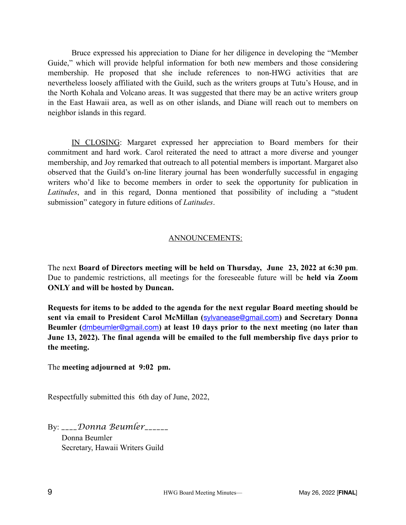Bruce expressed his appreciation to Diane for her diligence in developing the "Member Guide," which will provide helpful information for both new members and those considering membership. He proposed that she include references to non-HWG activities that are nevertheless loosely affiliated with the Guild, such as the writers groups at Tutu's House, and in the North Kohala and Volcano areas. It was suggested that there may be an active writers group in the East Hawaii area, as well as on other islands, and Diane will reach out to members on neighbor islands in this regard.

IN CLOSING: Margaret expressed her appreciation to Board members for their commitment and hard work. Carol reiterated the need to attract a more diverse and younger membership, and Joy remarked that outreach to all potential members is important. Margaret also observed that the Guild's on-line literary journal has been wonderfully successful in engaging writers who'd like to become members in order to seek the opportunity for publication in *Latitudes*, and in this regard, Donna mentioned that possibility of including a "student submission" category in future editions of *Latitudes*.

## ANNOUNCEMENTS:

The next **Board of Directors meeting will be held on Thursday, June 23, 2022 at 6:30 pm**. Due to pandemic restrictions, all meetings for the foreseeable future will be **held via Zoom ONLY and will be hosted by Duncan.** 

**Requests for items to be added to the agenda for the next regular Board meeting should be sent via email to President Carol McMillan (**[sylvanease@gmail.com](mailto:sylvanease@gmail.com)**) and Secretary Donna Beumler (**[dmbeumler@gmail.com](mailto:dmbeumler@gmail.com)**) at least 10 days prior to the next meeting (no later than June 13, 2022). The final agenda will be emailed to the full membership five days prior to the meeting.**

The **meeting adjourned at 9:02 pm.**

Respectfully submitted this 6th day of June, 2022,

By: *\_\_\_\_Donna Beumler\_\_\_\_\_\_*

 Donna Beumler Secretary, Hawaii Writers Guild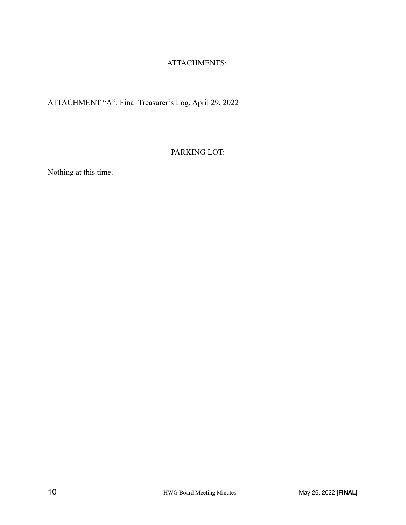# ATTACHMENTS:

# ATTACHMENT "A": Final Treasurer's Log, April 29, 2022

## PARKING LOT:

Nothing at this time.